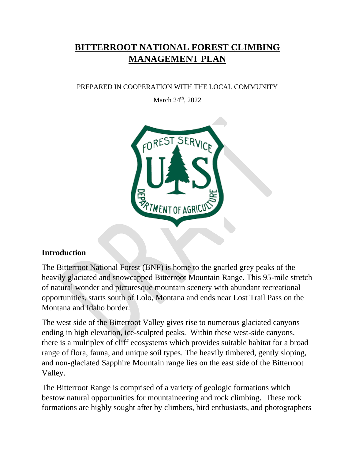# **BITTERROOT NATIONAL FOREST CLIMBING MANAGEMENT PLAN**

#### PREPARED IN COOPERATION WITH THE LOCAL COMMUNITY

March 24<sup>th</sup>, 2022



### **Introduction**

The Bitterroot National Forest (BNF) is home to the gnarled grey peaks of the heavily glaciated and snowcapped Bitterroot Mountain Range. This 95-mile stretch of natural wonder and picturesque mountain scenery with abundant recreational opportunities, starts south of Lolo, Montana and ends near Lost Trail Pass on the Montana and Idaho border.

The west side of the Bitterroot Valley gives rise to numerous glaciated canyons ending in high elevation, ice-sculpted peaks. Within these west-side canyons, there is a multiplex of cliff ecosystems which provides suitable habitat for a broad range of flora, fauna, and unique soil types. The heavily timbered, gently sloping, and non-glaciated Sapphire Mountain range lies on the east side of the Bitterroot Valley.

The Bitterroot Range is comprised of a variety of geologic formations which bestow natural opportunities for mountaineering and rock climbing. These rock formations are highly sought after by climbers, bird enthusiasts, and photographers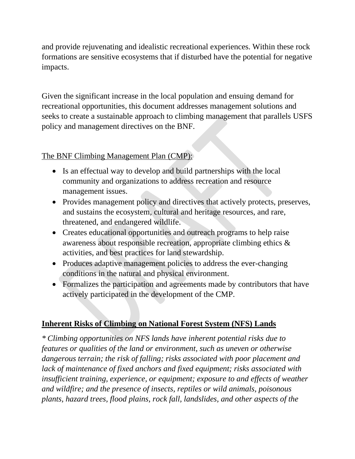and provide rejuvenating and idealistic recreational experiences. Within these rock formations are sensitive ecosystems that if disturbed have the potential for negative impacts.

Given the significant increase in the local population and ensuing demand for recreational opportunities, this document addresses management solutions and seeks to create a sustainable approach to climbing management that parallels USFS policy and management directives on the BNF.

### The BNF Climbing Management Plan (CMP):

- Is an effectual way to develop and build partnerships with the local community and organizations to address recreation and resource management issues.
- Provides management policy and directives that actively protects, preserves, and sustains the ecosystem, cultural and heritage resources, and rare, threatened, and endangered wildlife.
- Creates educational opportunities and outreach programs to help raise awareness about responsible recreation, appropriate climbing ethics & activities, and best practices for land stewardship.
- Produces adaptive management policies to address the ever-changing conditions in the natural and physical environment.
- Formalizes the participation and agreements made by contributors that have actively participated in the development of the CMP.

### **Inherent Risks of Climbing on National Forest System (NFS) Lands**

*\* Climbing opportunities on NFS lands have inherent potential risks due to features or qualities of the land or environment, such as uneven or otherwise dangerous terrain; the risk of falling; risks associated with poor placement and lack of maintenance of fixed anchors and fixed equipment; risks associated with insufficient training, experience, or equipment; exposure to and effects of weather and wildfire; and the presence of insects, reptiles or wild animals, poisonous plants, hazard trees, flood plains, rock fall, landslides, and other aspects of the*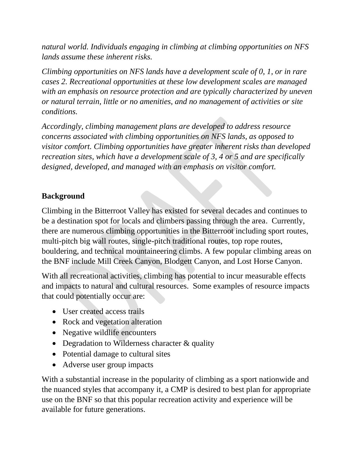*natural world. Individuals engaging in climbing at climbing opportunities on NFS lands assume these inherent risks.* 

*Climbing opportunities on NFS lands have a development scale of 0, 1, or in rare cases 2. Recreational opportunities at these low development scales are managed with an emphasis on resource protection and are typically characterized by uneven or natural terrain, little or no amenities, and no management of activities or site conditions.* 

*Accordingly, climbing management plans are developed to address resource concerns associated with climbing opportunities on NFS lands, as opposed to visitor comfort. Climbing opportunities have greater inherent risks than developed recreation sites, which have a development scale of 3, 4 or 5 and are specifically designed, developed, and managed with an emphasis on visitor comfort.*

### **Background**

Climbing in the Bitterroot Valley has existed for several decades and continues to be a destination spot for locals and climbers passing through the area. Currently, there are numerous climbing opportunities in the Bitterroot including sport routes, multi-pitch big wall routes, single-pitch traditional routes, top rope routes, bouldering, and technical mountaineering climbs. A few popular climbing areas on the BNF include Mill Creek Canyon, Blodgett Canyon, and Lost Horse Canyon.

With all recreational activities, climbing has potential to incur measurable effects and impacts to natural and cultural resources. Some examples of resource impacts that could potentially occur are:

- User created access trails
- Rock and vegetation alteration
- Negative wildlife encounters
- Degradation to Wilderness character & quality
- Potential damage to cultural sites
- Adverse user group impacts

With a substantial increase in the popularity of climbing as a sport nationwide and the nuanced styles that accompany it, a CMP is desired to best plan for appropriate use on the BNF so that this popular recreation activity and experience will be available for future generations.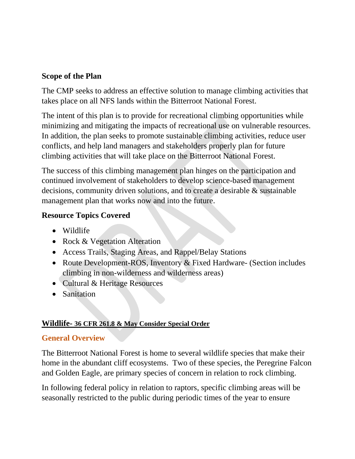#### **Scope of the Plan**

The CMP seeks to address an effective solution to manage climbing activities that takes place on all NFS lands within the Bitterroot National Forest.

The intent of this plan is to provide for recreational climbing opportunities while minimizing and mitigating the impacts of recreational use on vulnerable resources. In addition, the plan seeks to promote sustainable climbing activities, reduce user conflicts, and help land managers and stakeholders properly plan for future climbing activities that will take place on the Bitterroot National Forest.

The success of this climbing management plan hinges on the participation and continued involvement of stakeholders to develop science-based management decisions, community driven solutions, and to create a desirable & sustainable management plan that works now and into the future.

#### **Resource Topics Covered**

- Wildlife
- Rock & Vegetation Alteration
- Access Trails, Staging Areas, and Rappel/Belay Stations
- Route Development-ROS, Inventory & Fixed Hardware- (Section includes climbing in non-wilderness and wilderness areas)
- Cultural & Heritage Resources
- Sanitation

#### **Wildlife- 36 CFR 261.8 & May Consider Special Order**

#### **General Overview**

The Bitterroot National Forest is home to several wildlife species that make their home in the abundant cliff ecosystems. Two of these species, the Peregrine Falcon and Golden Eagle, are primary species of concern in relation to rock climbing.

In following federal policy in relation to raptors, specific climbing areas will be seasonally restricted to the public during periodic times of the year to ensure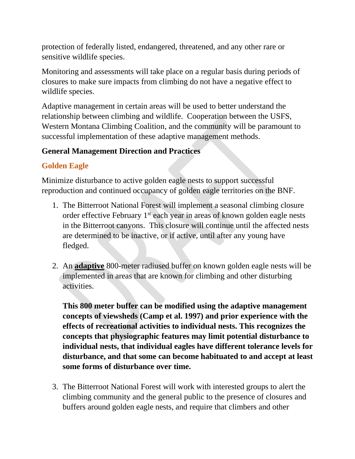protection of federally listed, endangered, threatened, and any other rare or sensitive wildlife species.

Monitoring and assessments will take place on a regular basis during periods of closures to make sure impacts from climbing do not have a negative effect to wildlife species.

Adaptive management in certain areas will be used to better understand the relationship between climbing and wildlife. Cooperation between the USFS, Western Montana Climbing Coalition, and the community will be paramount to successful implementation of these adaptive management methods.

### **General Management Direction and Practices**

### **Golden Eagle**

Minimize disturbance to active golden eagle nests to support successful reproduction and continued occupancy of golden eagle territories on the BNF*.*

- 1. The Bitterroot National Forest will implement a seasonal climbing closure order effective February  $1<sup>st</sup>$  each year in areas of known golden eagle nests in the Bitterroot canyons. This closure will continue until the affected nests are determined to be inactive, or if active, until after any young have fledged.
- 2. An **adaptive** 800-meter radiused buffer on known golden eagle nests will be implemented in areas that are known for climbing and other disturbing activities.

**This 800 meter buffer can be modified using the adaptive management concepts of viewsheds (Camp et al. 1997) and prior experience with the effects of recreational activities to individual nests. This recognizes the concepts that physiographic features may limit potential disturbance to individual nests, that individual eagles have different tolerance levels for disturbance, and that some can become habituated to and accept at least some forms of disturbance over time.**

3. The Bitterroot National Forest will work with interested groups to alert the climbing community and the general public to the presence of closures and buffers around golden eagle nests, and require that climbers and other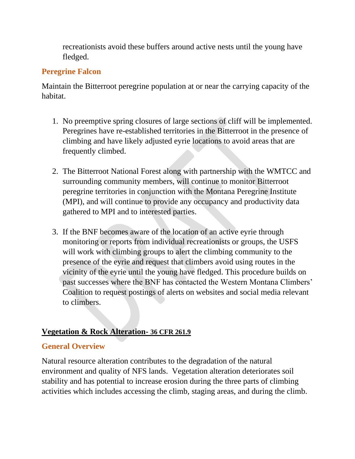recreationists avoid these buffers around active nests until the young have fledged.

### **Peregrine Falcon**

Maintain the Bitterroot peregrine population at or near the carrying capacity of the habitat.

- 1. No preemptive spring closures of large sections of cliff will be implemented. Peregrines have re-established territories in the Bitterroot in the presence of climbing and have likely adjusted eyrie locations to avoid areas that are frequently climbed.
- 2. The Bitterroot National Forest along with partnership with the WMTCC and surrounding community members, will continue to monitor Bitterroot peregrine territories in conjunction with the Montana Peregrine Institute (MPI), and will continue to provide any occupancy and productivity data gathered to MPI and to interested parties.
- 3. If the BNF becomes aware of the location of an active eyrie through monitoring or reports from individual recreationists or groups, the USFS will work with climbing groups to alert the climbing community to the presence of the eyrie and request that climbers avoid using routes in the vicinity of the eyrie until the young have fledged. This procedure builds on past successes where the BNF has contacted the Western Montana Climbers' Coalition to request postings of alerts on websites and social media relevant to climbers.

### **Vegetation & Rock Alteration- 36 CFR 261.9**

### **General Overview**

Natural resource alteration contributes to the degradation of the natural environment and quality of NFS lands. Vegetation alteration deteriorates soil stability and has potential to increase erosion during the three parts of climbing activities which includes accessing the climb, staging areas, and during the climb.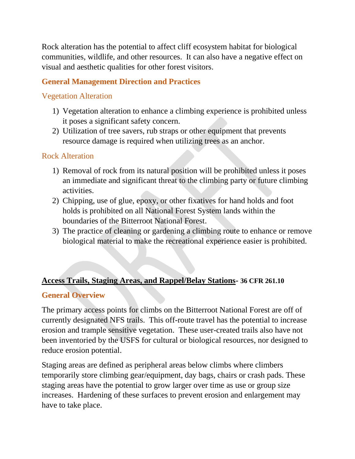Rock alteration has the potential to affect cliff ecosystem habitat for biological communities, wildlife, and other resources. It can also have a negative effect on visual and aesthetic qualities for other forest visitors.

### **General Management Direction and Practices**

#### Vegetation Alteration

- 1) Vegetation alteration to enhance a climbing experience is prohibited unless it poses a significant safety concern.
- 2) Utilization of tree savers, rub straps or other equipment that prevents resource damage is required when utilizing trees as an anchor.

### Rock Alteration

- 1) Removal of rock from its natural position will be prohibited unless it poses an immediate and significant threat to the climbing party or future climbing activities.
- 2) Chipping, use of glue, epoxy, or other fixatives for hand holds and foot holds is prohibited on all National Forest System lands within the boundaries of the Bitterroot National Forest.
- 3) The practice of cleaning or gardening a climbing route to enhance or remove biological material to make the recreational experience easier is prohibited.

#### **Access Trails, Staging Areas, and Rappel/Belay Stations- 36 CFR 261.10**

#### **General Overview**

The primary access points for climbs on the Bitterroot National Forest are off of currently designated NFS trails. This off-route travel has the potential to increase erosion and trample sensitive vegetation. These user-created trails also have not been inventoried by the USFS for cultural or biological resources, nor designed to reduce erosion potential.

Staging areas are defined as peripheral areas below climbs where climbers temporarily store climbing gear/equipment, day bags, chairs or crash pads. These staging areas have the potential to grow larger over time as use or group size increases. Hardening of these surfaces to prevent erosion and enlargement may have to take place.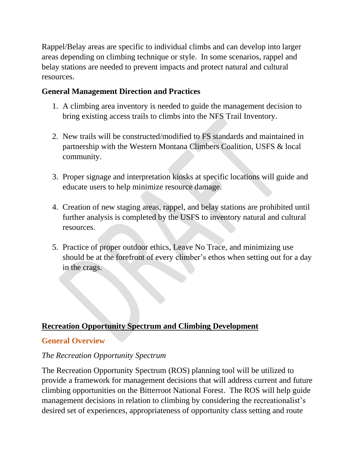Rappel/Belay areas are specific to individual climbs and can develop into larger areas depending on climbing technique or style. In some scenarios, rappel and belay stations are needed to prevent impacts and protect natural and cultural resources.

### **General Management Direction and Practices**

- 1. A climbing area inventory is needed to guide the management decision to bring existing access trails to climbs into the NFS Trail Inventory.
- 2. New trails will be constructed/modified to FS standards and maintained in partnership with the Western Montana Climbers Coalition, USFS & local community.
- 3. Proper signage and interpretation kiosks at specific locations will guide and educate users to help minimize resource damage.
- 4. Creation of new staging areas, rappel, and belay stations are prohibited until further analysis is completed by the USFS to inventory natural and cultural resources.
- 5. Practice of proper outdoor ethics, Leave No Trace, and minimizing use should be at the forefront of every climber's ethos when setting out for a day in the crags.

#### **Recreation Opportunity Spectrum and Climbing Development**

#### **General Overview**

#### *The Recreation Opportunity Spectrum*

The Recreation Opportunity Spectrum (ROS) planning tool will be utilized to provide a framework for management decisions that will address current and future climbing opportunities on the Bitterroot National Forest. The ROS will help guide management decisions in relation to climbing by considering the recreationalist's desired set of experiences, appropriateness of opportunity class setting and route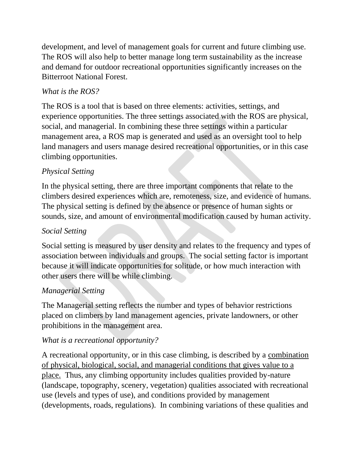development, and level of management goals for current and future climbing use. The ROS will also help to better manage long term sustainability as the increase and demand for outdoor recreational opportunities significantly increases on the Bitterroot National Forest.

### *What is the ROS?*

The ROS is a tool that is based on three elements: activities, settings, and experience opportunities. The three settings associated with the ROS are physical, social, and managerial. In combining these three settings within a particular management area, a ROS map is generated and used as an oversight tool to help land managers and users manage desired recreational opportunities, or in this case climbing opportunities.

### *Physical Setting*

In the physical setting, there are three important components that relate to the climbers desired experiences which are, remoteness, size, and evidence of humans. The physical setting is defined by the absence or presence of human sights or sounds, size, and amount of environmental modification caused by human activity.

### *Social Setting*

Social setting is measured by user density and relates to the frequency and types of association between individuals and groups. The social setting factor is important because it will indicate opportunities for solitude, or how much interaction with other users there will be while climbing.

### *Managerial Setting*

The Managerial setting reflects the number and types of behavior restrictions placed on climbers by land management agencies, private landowners, or other prohibitions in the management area.

### *What is a recreational opportunity?*

A recreational opportunity, or in this case climbing, is described by a combination of physical, biological, social, and managerial conditions that gives value to a place. Thus, any climbing opportunity includes qualities provided by-nature (landscape, topography, scenery, vegetation) qualities associated with recreational use (levels and types of use), and conditions provided by management (developments, roads, regulations). In combining variations of these qualities and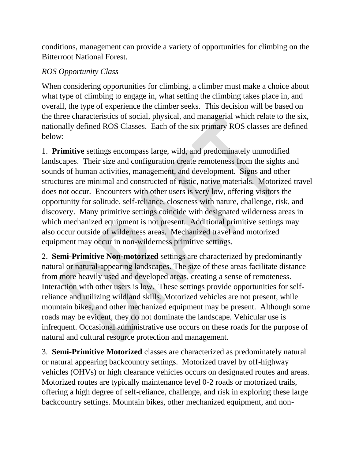conditions, management can provide a variety of opportunities for climbing on the Bitterroot National Forest.

#### *ROS Opportunity Class*

When considering opportunities for climbing, a climber must make a choice about what type of climbing to engage in, what setting the climbing takes place in, and overall, the type of experience the climber seeks. This decision will be based on the three characteristics of social, physical, and managerial which relate to the six, nationally defined ROS Classes. Each of the six primary ROS classes are defined below:

1. **Primitive** settings encompass large, wild, and predominately unmodified landscapes. Their size and configuration create remoteness from the sights and sounds of human activities, management, and development. Signs and other structures are minimal and constructed of rustic, native materials. Motorized travel does not occur. Encounters with other users is very low, offering visitors the opportunity for solitude, self-reliance, closeness with nature, challenge, risk, and discovery. Many primitive settings coincide with designated wilderness areas in which mechanized equipment is not present. Additional primitive settings may also occur outside of wilderness areas. Mechanized travel and motorized equipment may occur in non-wilderness primitive settings.

2. **Semi-Primitive Non-motorized** settings are characterized by predominantly natural or natural-appearing landscapes. The size of these areas facilitate distance from more heavily used and developed areas, creating a sense of remoteness. Interaction with other users is low. These settings provide opportunities for selfreliance and utilizing wildland skills. Motorized vehicles are not present, while mountain bikes, and other mechanized equipment may be present. Although some roads may be evident, they do not dominate the landscape. Vehicular use is infrequent. Occasional administrative use occurs on these roads for the purpose of natural and cultural resource protection and management.

3. **Semi-Primitive Motorized** classes are characterized as predominately natural or natural appearing backcountry settings. Motorized travel by off-highway vehicles (OHVs) or high clearance vehicles occurs on designated routes and areas. Motorized routes are typically maintenance level 0-2 roads or motorized trails, offering a high degree of self-reliance, challenge, and risk in exploring these large backcountry settings. Mountain bikes, other mechanized equipment, and non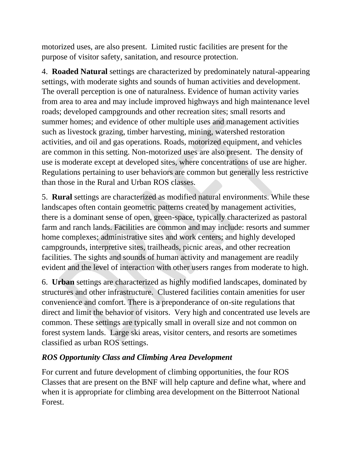motorized uses, are also present. Limited rustic facilities are present for the purpose of visitor safety, sanitation, and resource protection.

4. **Roaded Natural** settings are characterized by predominately natural-appearing settings, with moderate sights and sounds of human activities and development. The overall perception is one of naturalness. Evidence of human activity varies from area to area and may include improved highways and high maintenance level roads; developed campgrounds and other recreation sites; small resorts and summer homes; and evidence of other multiple uses and management activities such as livestock grazing, timber harvesting, mining, watershed restoration activities, and oil and gas operations. Roads, motorized equipment, and vehicles are common in this setting. Non-motorized uses are also present. The density of use is moderate except at developed sites, where concentrations of use are higher. Regulations pertaining to user behaviors are common but generally less restrictive than those in the Rural and Urban ROS classes.

5. **Rural** settings are characterized as modified natural environments. While these landscapes often contain geometric patterns created by management activities, there is a dominant sense of open, green-space, typically characterized as pastoral farm and ranch lands. Facilities are common and may include: resorts and summer home complexes; administrative sites and work centers; and highly developed campgrounds, interpretive sites, trailheads, picnic areas, and other recreation facilities. The sights and sounds of human activity and management are readily evident and the level of interaction with other users ranges from moderate to high.

6. **Urban** settings are characterized as highly modified landscapes, dominated by structures and other infrastructure. Clustered facilities contain amenities for user convenience and comfort. There is a preponderance of on-site regulations that direct and limit the behavior of visitors. Very high and concentrated use levels are common. These settings are typically small in overall size and not common on forest system lands. Large ski areas, visitor centers, and resorts are sometimes classified as urban ROS settings.

### *ROS Opportunity Class and Climbing Area Development*

For current and future development of climbing opportunities, the four ROS Classes that are present on the BNF will help capture and define what, where and when it is appropriate for climbing area development on the Bitterroot National Forest.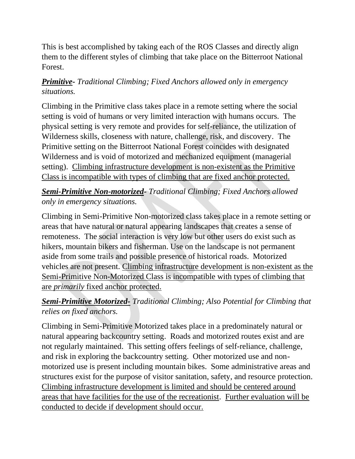This is best accomplished by taking each of the ROS Classes and directly align them to the different styles of climbing that take place on the Bitterroot National Forest.

### *Primitive- Traditional Climbing; Fixed Anchors allowed only in emergency situations.*

Climbing in the Primitive class takes place in a remote setting where the social setting is void of humans or very limited interaction with humans occurs. The physical setting is very remote and provides for self-reliance, the utilization of Wilderness skills, closeness with nature, challenge, risk, and discovery. The Primitive setting on the Bitterroot National Forest coincides with designated Wilderness and is void of motorized and mechanized equipment (managerial setting). Climbing infrastructure development is non-existent as the Primitive Class is incompatible with types of climbing that are fixed anchor protected.

### *Semi-Primitive Non-motorized- Traditional Climbing; Fixed Anchors allowed only in emergency situations.*

Climbing in Semi-Primitive Non-motorized class takes place in a remote setting or areas that have natural or natural appearing landscapes that creates a sense of remoteness. The social interaction is very low but other users do exist such as hikers, mountain bikers and fisherman. Use on the landscape is not permanent aside from some trails and possible presence of historical roads. Motorized vehicles are not present. Climbing infrastructure development is non-existent as the Semi-Primitive Non-Motorized Class is incompatible with types of climbing that are *primarily* fixed anchor protected.

### *Semi-Primitive Motorized- Traditional Climbing; Also Potential for Climbing that relies on fixed anchors.*

Climbing in Semi-Primitive Motorized takes place in a predominately natural or natural appearing backcountry setting. Roads and motorized routes exist and are not regularly maintained. This setting offers feelings of self-reliance, challenge, and risk in exploring the backcountry setting. Other motorized use and nonmotorized use is present including mountain bikes. Some administrative areas and structures exist for the purpose of visitor sanitation, safety, and resource protection. Climbing infrastructure development is limited and should be centered around areas that have facilities for the use of the recreationist. Further evaluation will be conducted to decide if development should occur.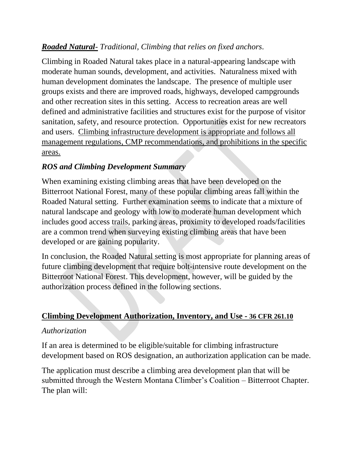### *Roaded Natural- Traditional, Climbing that relies on fixed anchors.*

Climbing in Roaded Natural takes place in a natural-appearing landscape with moderate human sounds, development, and activities. Naturalness mixed with human development dominates the landscape. The presence of multiple user groups exists and there are improved roads, highways, developed campgrounds and other recreation sites in this setting. Access to recreation areas are well defined and administrative facilities and structures exist for the purpose of visitor sanitation, safety, and resource protection. Opportunities exist for new recreators and users. Climbing infrastructure development is appropriate and follows all management regulations, CMP recommendations, and prohibitions in the specific areas.

### *ROS and Climbing Development Summary*

When examining existing climbing areas that have been developed on the Bitterroot National Forest, many of these popular climbing areas fall within the Roaded Natural setting. Further examination seems to indicate that a mixture of natural landscape and geology with low to moderate human development which includes good access trails, parking areas, proximity to developed roads/facilities are a common trend when surveying existing climbing areas that have been developed or are gaining popularity.

In conclusion, the Roaded Natural setting is most appropriate for planning areas of future climbing development that require bolt-intensive route development on the Bitterroot National Forest. This development, however, will be guided by the authorization process defined in the following sections.

#### **Climbing Development Authorization, Inventory, and Use - 36 CFR 261.10**

#### *Authorization*

If an area is determined to be eligible/suitable for climbing infrastructure development based on ROS designation, an authorization application can be made.

The application must describe a climbing area development plan that will be submitted through the Western Montana Climber's Coalition – Bitterroot Chapter. The plan will: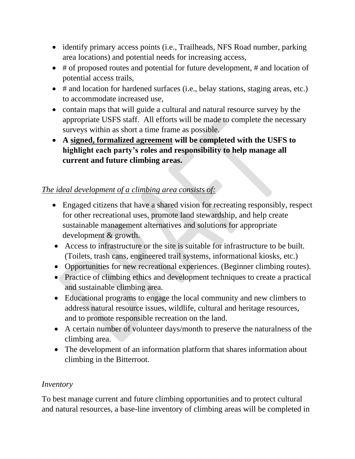- identify primary access points (i.e., Trailheads, NFS Road number, parking area locations) and potential needs for increasing access,
- # of proposed routes and potential for future development, # and location of potential access trails,
- # and location for hardened surfaces (i.e., belay stations, staging areas, etc.) to accommodate increased use,
- contain maps that will guide a cultural and natural resource survey by the appropriate USFS staff. All efforts will be made to complete the necessary surveys within as short a time frame as possible.
- **A signed, formalized agreement will be completed with the USFS to highlight each party's roles and responsibility to help manage all current and future climbing areas.**

### *The ideal development of a climbing area consists of:*

- Engaged citizens that have a shared vision for recreating responsibly, respect for other recreational uses, promote land stewardship, and help create sustainable management alternatives and solutions for appropriate development & growth.
- Access to infrastructure or the site is suitable for infrastructure to be built. (Toilets, trash cans, engineered trail systems, informational kiosks, etc.)
- Opportunities for new recreational experiences. (Beginner climbing routes).
- Practice of climbing ethics and development techniques to create a practical and sustainable climbing area.
- Educational programs to engage the local community and new climbers to address natural resource issues, wildlife, cultural and heritage resources, and to promote responsible recreation on the land.
- A certain number of volunteer days/month to preserve the naturalness of the climbing area.
- The development of an information platform that shares information about climbing in the Bitterroot.

#### *Inventory*

To best manage current and future climbing opportunities and to protect cultural and natural resources, a base-line inventory of climbing areas will be completed in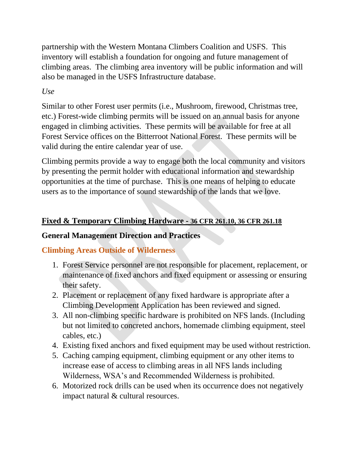partnership with the Western Montana Climbers Coalition and USFS. This inventory will establish a foundation for ongoing and future management of climbing areas. The climbing area inventory will be public information and will also be managed in the USFS Infrastructure database.

### *Use*

Similar to other Forest user permits (i.e., Mushroom, firewood, Christmas tree, etc.) Forest-wide climbing permits will be issued on an annual basis for anyone engaged in climbing activities. These permits will be available for free at all Forest Service offices on the Bitterroot National Forest. These permits will be valid during the entire calendar year of use.

Climbing permits provide a way to engage both the local community and visitors by presenting the permit holder with educational information and stewardship opportunities at the time of purchase. This is one means of helping to educate users as to the importance of sound stewardship of the lands that we love.

### **Fixed & Temporary Climbing Hardware - 36 CFR 261.10, 36 CFR 261.18**

### **General Management Direction and Practices**

# **Climbing Areas Outside of Wilderness**

- 1. Forest Service personnel are not responsible for placement, replacement, or maintenance of fixed anchors and fixed equipment or assessing or ensuring their safety.
- 2. Placement or replacement of any fixed hardware is appropriate after a Climbing Development Application has been reviewed and signed.
- 3. All non-climbing specific hardware is prohibited on NFS lands. (Including but not limited to concreted anchors, homemade climbing equipment, steel cables, etc.)
- 4. Existing fixed anchors and fixed equipment may be used without restriction.
- 5. Caching camping equipment, climbing equipment or any other items to increase ease of access to climbing areas in all NFS lands including Wilderness, WSA's and Recommended Wilderness is prohibited.
- 6. Motorized rock drills can be used when its occurrence does not negatively impact natural & cultural resources.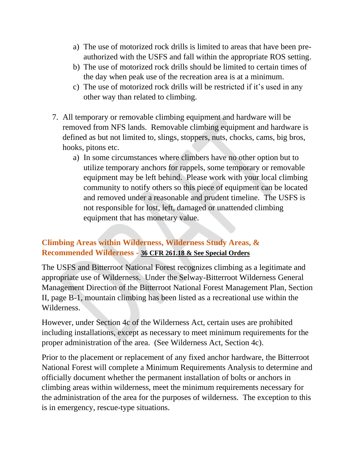- a) The use of motorized rock drills is limited to areas that have been preauthorized with the USFS and fall within the appropriate ROS setting.
- b) The use of motorized rock drills should be limited to certain times of the day when peak use of the recreation area is at a minimum.
- c) The use of motorized rock drills will be restricted if it's used in any other way than related to climbing.
- 7. All temporary or removable climbing equipment and hardware will be removed from NFS lands. Removable climbing equipment and hardware is defined as but not limited to, slings, stoppers, nuts, chocks, cams, big bros, hooks, pitons etc.
	- a) In some circumstances where climbers have no other option but to utilize temporary anchors for rappels, some temporary or removable equipment may be left behind. Please work with your local climbing community to notify others so this piece of equipment can be located and removed under a reasonable and prudent timeline. The USFS is not responsible for lost, left, damaged or unattended climbing equipment that has monetary value.

### **Climbing Areas within Wilderness, Wilderness Study Areas, & Recommended Wilderness - 36 CFR 261.18 & See Special Orders**

The USFS and Bitterroot National Forest recognizes climbing as a legitimate and appropriate use of Wilderness. Under the Selway-Bitterroot Wilderness General Management Direction of the Bitterroot National Forest Management Plan, Section II, page B-1, mountain climbing has been listed as a recreational use within the Wilderness.

However, under Section 4c of the Wilderness Act, certain uses are prohibited including installations, except as necessary to meet minimum requirements for the proper administration of the area. (See Wilderness Act, Section 4c).

Prior to the placement or replacement of any fixed anchor hardware, the Bitterroot National Forest will complete a Minimum Requirements Analysis to determine and officially document whether the permanent installation of bolts or anchors in climbing areas within wilderness, meet the minimum requirements necessary for the administration of the area for the purposes of wilderness. The exception to this is in emergency, rescue-type situations.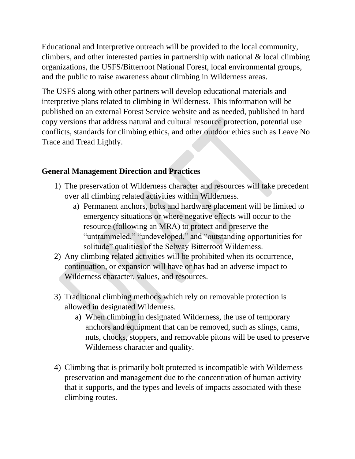Educational and Interpretive outreach will be provided to the local community, climbers, and other interested parties in partnership with national  $\&$  local climbing organizations, the USFS/Bitterroot National Forest, local environmental groups, and the public to raise awareness about climbing in Wilderness areas.

The USFS along with other partners will develop educational materials and interpretive plans related to climbing in Wilderness. This information will be published on an external Forest Service website and as needed, published in hard copy versions that address natural and cultural resource protection, potential use conflicts, standards for climbing ethics, and other outdoor ethics such as Leave No Trace and Tread Lightly.

### **General Management Direction and Practices**

- 1) The preservation of Wilderness character and resources will take precedent over all climbing related activities within Wilderness.
	- a) Permanent anchors, bolts and hardware placement will be limited to emergency situations or where negative effects will occur to the resource (following an MRA) to protect and preserve the "untrammeled," "undeveloped," and "outstanding opportunities for solitude" qualities of the Selway Bitterroot Wilderness.
- 2) Any climbing related activities will be prohibited when its occurrence, continuation, or expansion will have or has had an adverse impact to Wilderness character, values, and resources.
- 3) Traditional climbing methods which rely on removable protection is allowed in designated Wilderness.
	- a) When climbing in designated Wilderness, the use of temporary anchors and equipment that can be removed, such as slings, cams, nuts, chocks, stoppers, and removable pitons will be used to preserve Wilderness character and quality.
- 4) Climbing that is primarily bolt protected is incompatible with Wilderness preservation and management due to the concentration of human activity that it supports, and the types and levels of impacts associated with these climbing routes.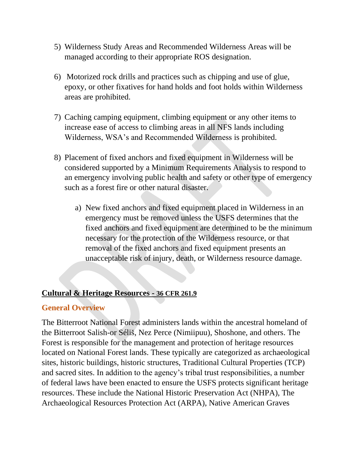- 5) Wilderness Study Areas and Recommended Wilderness Areas will be managed according to their appropriate ROS designation.
- 6) Motorized rock drills and practices such as chipping and use of glue, epoxy, or other fixatives for hand holds and foot holds within Wilderness areas are prohibited.
- 7) Caching camping equipment, climbing equipment or any other items to increase ease of access to climbing areas in all NFS lands including Wilderness, WSA's and Recommended Wilderness is prohibited.
- 8) Placement of fixed anchors and fixed equipment in Wilderness will be considered supported by a Minimum Requirements Analysis to respond to an emergency involving public health and safety or other type of emergency such as a forest fire or other natural disaster.
	- a) New fixed anchors and fixed equipment placed in Wilderness in an emergency must be removed unless the USFS determines that the fixed anchors and fixed equipment are determined to be the minimum necessary for the protection of the Wilderness resource, or that removal of the fixed anchors and fixed equipment presents an unacceptable risk of injury, death, or Wilderness resource damage.

#### **Cultural & Heritage Resources - 36 CFR 261.9**

#### **General Overview**

The Bitterroot National Forest administers lands within the ancestral homeland of the Bitterroot Salish-or Séliš, Nez Perce (Nimiipuu), Shoshone, and others. The Forest is responsible for the management and protection of heritage resources located on National Forest lands. These typically are categorized as archaeological sites, historic buildings, historic structures, Traditional Cultural Properties (TCP) and sacred sites. In addition to the agency's tribal trust responsibilities, a number of federal laws have been enacted to ensure the USFS protects significant heritage resources. These include the National Historic Preservation Act (NHPA), The Archaeological Resources Protection Act (ARPA), Native American Graves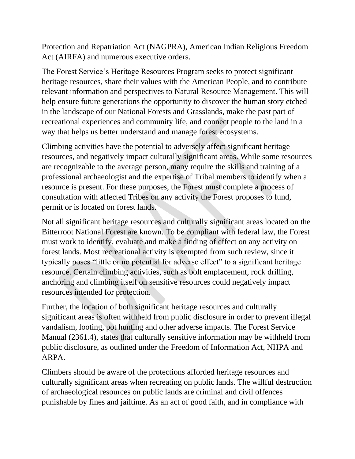Protection and Repatriation Act (NAGPRA), American Indian Religious Freedom Act (AIRFA) and numerous executive orders.

The Forest Service's Heritage Resources Program seeks to protect significant heritage resources, share their values with the American People, and to contribute relevant information and perspectives to Natural Resource Management. This will help ensure future generations the opportunity to discover the human story etched in the landscape of our National Forests and Grasslands, make the past part of recreational experiences and community life, and connect people to the land in a way that helps us better understand and manage forest ecosystems.

Climbing activities have the potential to adversely affect significant heritage resources, and negatively impact culturally significant areas. While some resources are recognizable to the average person, many require the skills and training of a professional archaeologist and the expertise of Tribal members to identify when a resource is present. For these purposes, the Forest must complete a process of consultation with affected Tribes on any activity the Forest proposes to fund, permit or is located on forest lands.

Not all significant heritage resources and culturally significant areas located on the Bitterroot National Forest are known. To be compliant with federal law, the Forest must work to identify, evaluate and make a finding of effect on any activity on forest lands. Most recreational activity is exempted from such review, since it typically poses "little or no potential for adverse effect" to a significant heritage resource. Certain climbing activities, such as bolt emplacement, rock drilling, anchoring and climbing itself on sensitive resources could negatively impact resources intended for protection.

Further, the location of both significant heritage resources and culturally significant areas is often withheld from public disclosure in order to prevent illegal vandalism, looting, pot hunting and other adverse impacts. The Forest Service Manual (2361.4), states that culturally sensitive information may be withheld from public disclosure, as outlined under the Freedom of Information Act, NHPA and ARPA.

Climbers should be aware of the protections afforded heritage resources and culturally significant areas when recreating on public lands. The willful destruction of archaeological resources on public lands are criminal and civil offences punishable by fines and jailtime. As an act of good faith, and in compliance with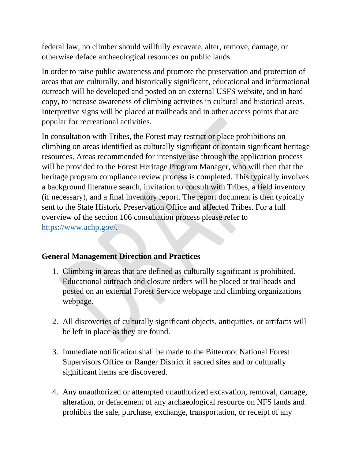federal law, no climber should willfully excavate, alter, remove, damage, or otherwise deface archaeological resources on public lands.

In order to raise public awareness and promote the preservation and protection of areas that are culturally, and historically significant, educational and informational outreach will be developed and posted on an external USFS website, and in hard copy, to increase awareness of climbing activities in cultural and historical areas. Interpretive signs will be placed at trailheads and in other access points that are popular for recreational activities.

In consultation with Tribes, the Forest may restrict or place prohibitions on climbing on areas identified as culturally significant or contain significant heritage resources. Areas recommended for intensive use through the application process will be provided to the Forest Heritage Program Manager, who will then that the heritage program compliance review process is completed. This typically involves a background literature search, invitation to consult with Tribes, a field inventory (if necessary), and a final inventory report. The report document is then typically sent to the State Historic Preservation Office and affected Tribes. For a full overview of the section 106 consultation process please refer to [https://www.achp.gov/.](https://www.achp.gov/)

### **General Management Direction and Practices**

- 1. Climbing in areas that are defined as culturally significant is prohibited. Educational outreach and closure orders will be placed at trailheads and posted on an external Forest Service webpage and climbing organizations webpage.
- 2. All discoveries of culturally significant objects, antiquities, or artifacts will be left in place as they are found.
- 3. Immediate notification shall be made to the Bitterroot National Forest Supervisors Office or Ranger District if sacred sites and or culturally significant items are discovered.
- 4. Any unauthorized or attempted unauthorized excavation, removal, damage, alteration, or defacement of any archaeological resource on NFS lands and prohibits the sale, purchase, exchange, transportation, or receipt of any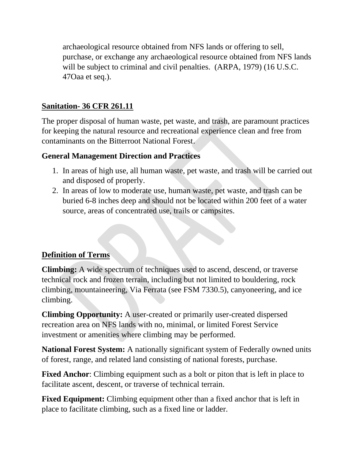archaeological resource obtained from NFS lands or offering to sell, purchase, or exchange any archaeological resource obtained from NFS lands will be subject to criminal and civil penalties. (ARPA, 1979) (16 U.S.C. 47Oaa et seq.).

### **Sanitation- 36 CFR 261.11**

The proper disposal of human waste, pet waste, and trash, are paramount practices for keeping the natural resource and recreational experience clean and free from contaminants on the Bitterroot National Forest.

### **General Management Direction and Practices**

- 1. In areas of high use, all human waste, pet waste, and trash will be carried out and disposed of properly.
- 2. In areas of low to moderate use, human waste, pet waste, and trash can be buried 6-8 inches deep and should not be located within 200 feet of a water source, areas of concentrated use, trails or campsites.

# **Definition of Terms**

**Climbing:** A wide spectrum of techniques used to ascend, descend, or traverse technical rock and frozen terrain, including but not limited to bouldering, rock climbing, mountaineering, Via Ferrata (see FSM 7330.5), canyoneering, and ice climbing.

**Climbing Opportunity:** A user-created or primarily user-created dispersed recreation area on NFS lands with no, minimal, or limited Forest Service investment or amenities where climbing may be performed.

**National Forest System:** A nationally significant system of Federally owned units of forest, range, and related land consisting of national forests, purchase.

**Fixed Anchor:** Climbing equipment such as a bolt or piton that is left in place to facilitate ascent, descent, or traverse of technical terrain.

**Fixed Equipment:** Climbing equipment other than a fixed anchor that is left in place to facilitate climbing, such as a fixed line or ladder.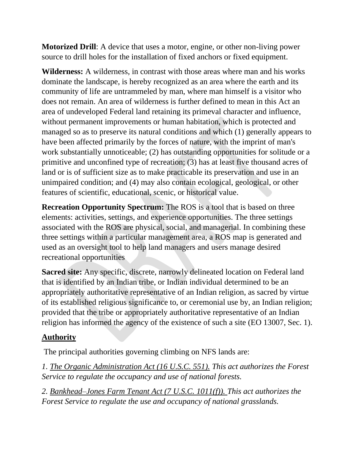**Motorized Drill**: A device that uses a motor, engine, or other non-living power source to drill holes for the installation of fixed anchors or fixed equipment.

**Wilderness:** A wilderness, in contrast with those areas where man and his works dominate the landscape, is hereby recognized as an area where the earth and its community of life are untrammeled by man, where man himself is a visitor who does not remain. An area of wilderness is further defined to mean in this Act an area of undeveloped Federal land retaining its primeval character and influence, without permanent improvements or human habitation, which is protected and managed so as to preserve its natural conditions and which (1) generally appears to have been affected primarily by the forces of nature, with the imprint of man's work substantially unnoticeable; (2) has outstanding opportunities for solitude or a primitive and unconfined type of recreation; (3) has at least five thousand acres of land or is of sufficient size as to make practicable its preservation and use in an unimpaired condition; and (4) may also contain ecological, geological, or other features of scientific, educational, scenic, or historical value.

**Recreation Opportunity Spectrum:** The ROS is a tool that is based on three elements: activities, settings, and experience opportunities. The three settings associated with the ROS are physical, social, and managerial. In combining these three settings within a particular management area, a ROS map is generated and used as an oversight tool to help land managers and users manage desired recreational opportunities

**Sacred site:** Any specific, discrete, narrowly delineated location on Federal land that is identified by an Indian tribe, or Indian individual determined to be an appropriately authoritative representative of an Indian religion, as sacred by virtue of its established religious significance to, or ceremonial use by, an Indian religion; provided that the tribe or appropriately authoritative representative of an Indian religion has informed the agency of the existence of such a site (EO 13007, Sec. 1).

# **Authority**

The principal authorities governing climbing on NFS lands are:

*1. The Organic Administration Act (16 U.S.C. 551). This act authorizes the Forest Service to regulate the occupancy and use of national forests.* 

*2. Bankhead–Jones Farm Tenant Act (7 U.S.C. 1011(f)). This act authorizes the Forest Service to regulate the use and occupancy of national grasslands.*